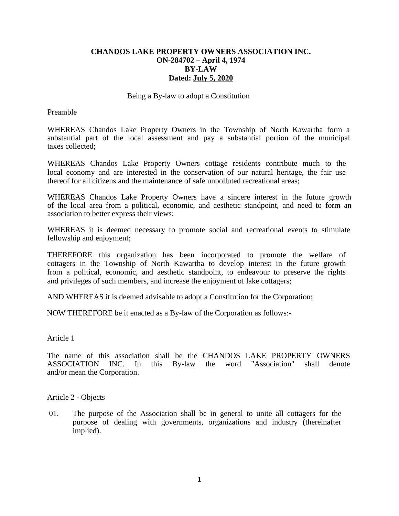# **CHANDOS LAKE PROPERTY OWNERS ASSOCIATION INC. ON-284702 – April 4, 1974 BY-LAW Dated: July 5, 2020**

Being a By-law to adopt a Constitution

Preamble

WHEREAS Chandos Lake Property Owners in the Township of North Kawartha form a substantial part of the local assessment and pay a substantial portion of the municipal taxes collected;

WHEREAS Chandos Lake Property Owners cottage residents contribute much to the local economy and are interested in the conservation of our natural heritage, the fair use thereof for all citizens and the maintenance of safe unpolluted recreational areas;

WHEREAS Chandos Lake Property Owners have a sincere interest in the future growth of the local area from a political, economic, and aesthetic standpoint, and need to form an association to better express their views;

WHEREAS it is deemed necessary to promote social and recreational events to stimulate fellowship and enjoyment;

THEREFORE this organization has been incorporated to promote the welfare of cottagers in the Township of North Kawartha to develop interest in the future growth from a political, economic, and aesthetic standpoint, to endeavour to preserve the rights and privileges of such members, and increase the enjoyment of lake cottagers;

AND WHEREAS it is deemed advisable to adopt a Constitution for the Corporation;

NOW THEREFORE be it enacted as a By-law of the Corporation as follows:-

Article 1

The name of this association shall be the CHANDOS LAKE PROPERTY OWNERS ASSOCIATION INC. In this By-law the word "Association" shall denote and/or mean the Corporation.

Article 2 - Objects

01. The purpose of the Association shall be in general to unite all cottagers for the purpose of dealing with governments, organizations and industry (thereinafter implied).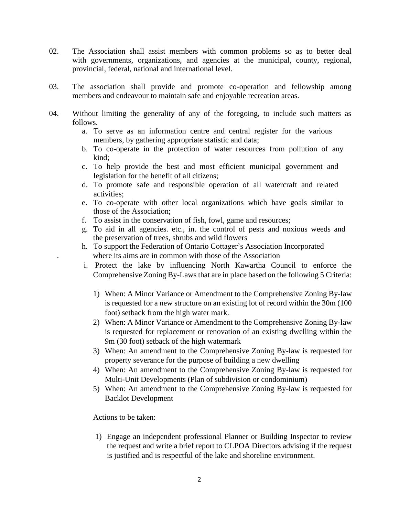- 02. The Association shall assist members with common problems so as to better deal with governments, organizations, and agencies at the municipal, county, regional, provincial, federal, national and international level.
- 03. The association shall provide and promote co-operation and fellowship among members and endeavour to maintain safe and enjoyable recreation areas.
- 04. Without limiting the generality of any of the foregoing, to include such matters as follows.
	- a. To serve as an information centre and central register for the various members, by gathering appropriate statistic and data;
	- b. To co-operate in the protection of water resources from pollution of any kind;
	- c. To help provide the best and most efficient municipal government and legislation for the benefit of all citizens;
	- d. To promote safe and responsible operation of all watercraft and related activities;
	- e. To co-operate with other local organizations which have goals similar to those of the Association;
	- f. To assist in the conservation of fish, fowl, game and resources;
	- g. To aid in all agencies. etc., in. the control of pests and noxious weeds and the preservation of trees, shrubs and wild flowers
	- h. To support the Federation of Ontario Cottager's Association Incorporated where its aims are in common with those of the Association
	- i. Protect the lake by influencing North Kawartha Council to enforce the Comprehensive Zoning By-Laws that are in place based on the following 5 Criteria:
		- 1) When: A Minor Variance or Amendment to the Comprehensive Zoning By-law is requested for a new structure on an existing lot of record within the 30m (100 foot) setback from the high water mark.
		- 2) When: A Minor Variance or Amendment to the Comprehensive Zoning By-law is requested for replacement or renovation of an existing dwelling within the 9m (30 foot) setback of the high watermark
		- 3) When: An amendment to the Comprehensive Zoning By-law is requested for property severance for the purpose of building a new dwelling
		- 4) When: An amendment to the Comprehensive Zoning By-law is requested for Multi-Unit Developments (Plan of subdivision or condominium)
		- 5) When: An amendment to the Comprehensive Zoning By-law is requested for Backlot Development

Actions to be taken:

1) Engage an independent professional Planner or Building Inspector to review the request and write a brief report to CLPOA Directors advising if the request is justified and is respectful of the lake and shoreline environment.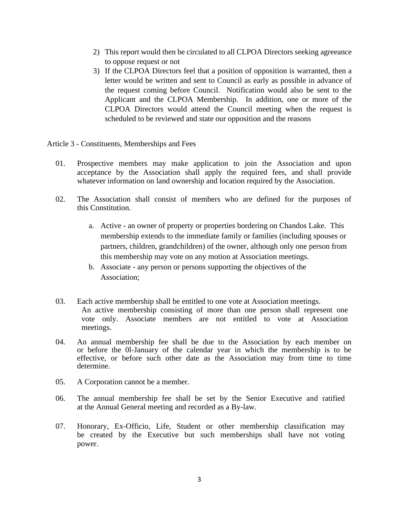- 2) This report would then be circulated to all CLPOA Directors seeking agreeance to oppose request or not
- 3) If the CLPOA Directors feel that a position of opposition is warranted, then a letter would be written and sent to Council as early as possible in advance of the request coming before Council. Notification would also be sent to the Applicant and the CLPOA Membership. In addition, one or more of the CLPOA Directors would attend the Council meeting when the request is scheduled to be reviewed and state our opposition and the reasons
- Article 3 Constituents, Memberships and Fees
	- 01. Prospective members may make application to join the Association and upon acceptance by the Association shall apply the required fees, and shall provide whatever information on land ownership and location required by the Association.
	- 02. The Association shall consist of members who are defined for the purposes of this Constitution.
		- a. Active an owner of property or properties bordering on Chandos Lake. This membership extends to the immediate family or families (including spouses or partners, children, grandchildren) of the owner, although only one person from this membership may vote on any motion at Association meetings.
		- b. Associate any person or persons supporting the objectives of the Association;
	- 03. Each active membership shall be entitled to one vote at Association meetings. An active membership consisting of more than one person shall represent one vote only. Associate members are not entitled to vote at Association meetings.
	- 04. An annual membership fee shall be due to the Association by each member on or before the 0l-January of the calendar year in which the membership is to be effective, or before such other date as the Association may from time to time determine.
	- 05. A Corporation cannot be a member.
	- 06. The annual membership fee shall be set by the Senior Executive and ratified at the Annual General meeting and recorded as a By-law.
	- 07. Honorary, Ex-Officio, Life, Student or other membership classification may be created by the Executive but such memberships shall have not voting power.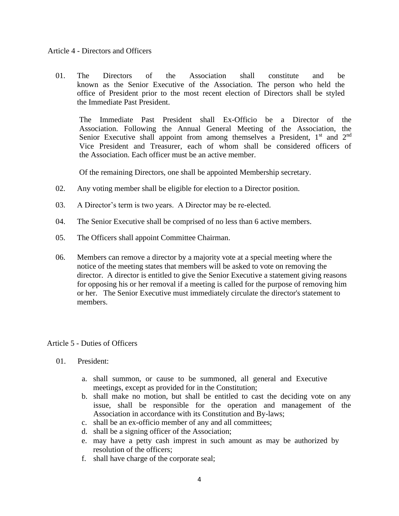## Article 4 - Directors and Officers

01. The Directors of the Association shall constitute and be known as the Senior Executive of the Association. The person who held the office of President prior to the most recent election of Directors shall be styled the Immediate Past President.

The Immediate Past President shall Ex-Officio be a Director of the Association. Following the Annual General Meeting of the Association, the Senior Executive shall appoint from among themselves a President,  $1<sup>st</sup>$  and  $2<sup>nd</sup>$ Vice President and Treasurer, each of whom shall be considered officers of the Association. Each officer must be an active member.

Of the remaining Directors, one shall be appointed Membership secretary.

- 02. Any voting member shall be eligible for election to a Director position.
- 03. A Director's term is two years. A Director may be re-elected.
- 04. The Senior Executive shall be comprised of no less than 6 active members.
- 05. The Officers shall appoint Committee Chairman.
- 06. Members can remove a director by a majority vote at a special meeting where the notice of the meeting states that members will be asked to vote on removing the director. A director is entitled to give the Senior Executive a statement giving reasons for opposing his or her removal if a meeting is called for the purpose of removing him or her. The Senior Executive must immediately circulate the director's statement to members.

#### Article 5 - Duties of Officers

- 01. President:
	- a. shall summon, or cause to be summoned, all general and Executive meetings, except as provided for in the Constitution;
	- b. shall make no motion, but shall be entitled to cast the deciding vote on any issue, shall be responsible for the operation and management of the Association in accordance with its Constitution and By-laws;
	- c. shall be an ex-officio member of any and all committees;
	- d. shall be a signing officer of the Association;
	- e. may have a petty cash imprest in such amount as may be authorized by resolution of the officers;
	- f. shall have charge of the corporate seal;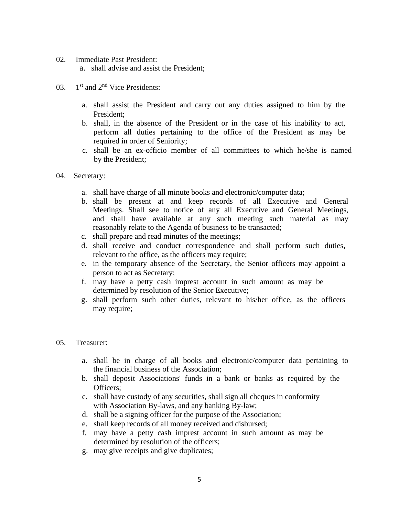02. Immediate Past President:

a. shall advise and assist the President;

- 03.  $1<sup>st</sup>$  and  $2<sup>nd</sup>$  Vice Presidents:
	- a. shall assist the President and carry out any duties assigned to him by the President;
	- b. shall, in the absence of the President or in the case of his inability to act, perform all duties pertaining to the office of the President as may be required in order of Seniority;
	- c. shall be an ex-officio member of all committees to which he/she is named by the President;
- 04. Secretary:
	- a. shall have charge of all minute books and electronic/computer data;
	- b. shall be present at and keep records of all Executive and General Meetings. Shall see to notice of any all Executive and General Meetings, and shall have available at any such meeting such material as may reasonably relate to the Agenda of business to be transacted;
	- c. shall prepare and read minutes of the meetings;
	- d. shall receive and conduct correspondence and shall perform such duties, relevant to the office, as the officers may require;
	- e. in the temporary absence of the Secretary, the Senior officers may appoint a person to act as Secretary;
	- f. may have a petty cash imprest account in such amount as may be determined by resolution of the Senior Executive;
	- g. shall perform such other duties, relevant to his/her office, as the officers may require;

#### 05. Treasurer:

- a. shall be in charge of all books and electronic/computer data pertaining to the financial business of the Association;
- b. shall deposit Associations' funds in a bank or banks as required by the Officers;
- c. shall have custody of any securities, shall sign all cheques in conformity with Association By-laws, and any banking By-law;
- d. shall be a signing officer for the purpose of the Association;
- e. shall keep records of all money received and disbursed;
- f. may have a petty cash imprest account in such amount as may be determined by resolution of the officers;
- g. may give receipts and give duplicates;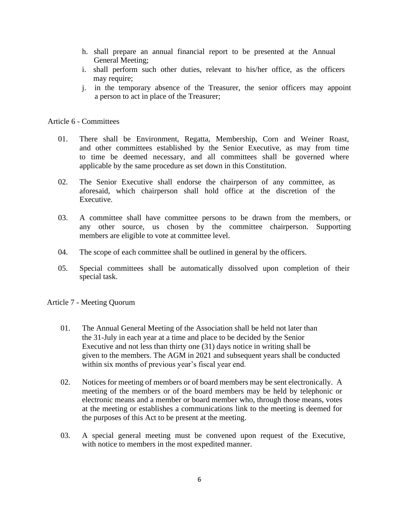- h. shall prepare an annual financial report to be presented at the Annual General Meeting;
- i. shall perform such other duties, relevant to his/her office, as the officers may require;
- j. in the temporary absence of the Treasurer, the senior officers may appoint a person to act in place of the Treasurer;

Article 6 - Committees

- 01. There shall be Environment, Regatta, Membership, Corn and Weiner Roast, and other committees established by the Senior Executive, as may from time to time be deemed necessary, and all committees shall be governed where applicable by the same procedure as set down in this Constitution.
- 02. The Senior Executive shall endorse the chairperson of any committee, as aforesaid, which chairperson shall hold office at the discretion of the Executive.
- 03. A committee shall have committee persons to be drawn from the members, or any other source, us chosen by the committee chairperson. Supporting members are eligible to vote at committee level.
- 04. The scope of each committee shall be outlined in general by the officers.
- 05. Special committees shall be automatically dissolved upon completion of their special task.

Article 7 - Meeting Quorum

- 01. The Annual General Meeting of the Association shall be held not later than the 31-July in each year at a time and place to be decided by the Senior Executive and not less than thirty one (31) days notice in writing shall be given to the members. The AGM in 2021 and subsequent years shall be conducted within six months of previous year's fiscal year end.
- 02. Notices for meeting of members or of board members may be sent electronically. A meeting of the members or of the board members may be held by telephonic or electronic means and a member or board member who, through those means, votes at the meeting or establishes a communications link to the meeting is deemed for the purposes of this Act to be present at the meeting.
- 03. A special general meeting must be convened upon request of the Executive, with notice to members in the most expedited manner.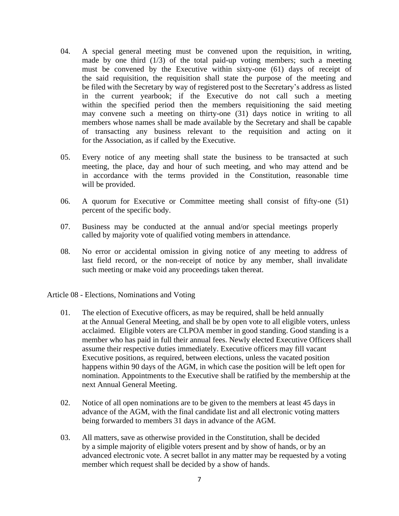- 04. A special general meeting must be convened upon the requisition, in writing, made by one third  $(1/3)$  of the total paid-up voting members; such a meeting must be convened by the Executive within sixty-one (61) days of receipt of the said requisition, the requisition shall state the purpose of the meeting and be filed with the Secretary by way of registered post to the Secretary's address as listed in the current yearbook; if the Executive do not call such a meeting within the specified period then the members requisitioning the said meeting may convene such a meeting on thirty-one (31) days notice in writing to all members whose names shall be made available by the Secretary and shall be capable of transacting any business relevant to the requisition and acting on it for the Association, as if called by the Executive.
- 05. Every notice of any meeting shall state the business to be transacted at such meeting, the place, day and hour of such meeting, and who may attend and be in accordance with the terms provided in the Constitution, reasonable time will be provided.
- 06. A quorum for Executive or Committee meeting shall consist of fifty-one (51) percent of the specific body.
- 07. Business may be conducted at the annual and/or special meetings properly called by majority vote of qualified voting members in attendance.
- 08. No error or accidental omission in giving notice of any meeting to address of last field record, or the non-receipt of notice by any member, shall invalidate such meeting or make void any proceedings taken thereat.
- Article 08 Elections, Nominations and Voting
	- 01. The election of Executive officers, as may be required, shall be held annually at the Annual General Meeting, and shall be by open vote to all eligible voters, unless acclaimed. Eligible voters are CLPOA member in good standing. Good standing is a member who has paid in full their annual fees. Newly elected Executive Officers shall assume their respective duties immediately. Executive officers may fill vacant Executive positions, as required, between elections, unless the vacated position happens within 90 days of the AGM, in which case the position will be left open for nomination. Appointments to the Executive shall be ratified by the membership at the next Annual General Meeting.
	- 02. Notice of all open nominations are to be given to the members at least 45 days in advance of the AGM, with the final candidate list and all electronic voting matters being forwarded to members 31 days in advance of the AGM.
	- 03. All matters, save as otherwise provided in the Constitution, shall be decided by a simple majority of eligible voters present and by show of hands, or by an advanced electronic vote. A secret ballot in any matter may be requested by a voting member which request shall be decided by a show of hands.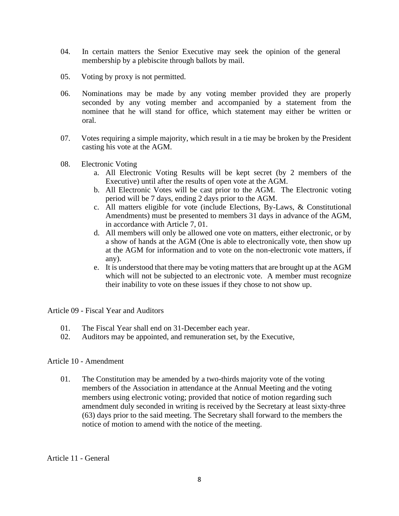- 04. In certain matters the Senior Executive may seek the opinion of the general membership by a plebiscite through ballots by mail.
- 05. Voting by proxy is not permitted.
- 06. Nominations may be made by any voting member provided they are properly seconded by any voting member and accompanied by a statement from the nominee that he will stand for office, which statement may either be written or oral.
- 07. Votes requiring a simple majority, which result in a tie may be broken by the President casting his vote at the AGM.
- 08. Electronic Voting
	- a. All Electronic Voting Results will be kept secret (by 2 members of the Executive) until after the results of open vote at the AGM.
	- b. All Electronic Votes will be cast prior to the AGM. The Electronic voting period will be 7 days, ending 2 days prior to the AGM.
	- c. All matters eligible for vote (include Elections, By-Laws, & Constitutional Amendments) must be presented to members 31 days in advance of the AGM, in accordance with Article 7, 01.
	- d. All members will only be allowed one vote on matters, either electronic, or by a show of hands at the AGM (One is able to electronically vote, then show up at the AGM for information and to vote on the non-electronic vote matters, if any).
	- e. It is understood that there may be voting matters that are brought up at the AGM which will not be subjected to an electronic vote. A member must recognize their inability to vote on these issues if they chose to not show up.

Article 09 - Fiscal Year and Auditors

- 01. The Fiscal Year shall end on 31-December each year.
- 02. Auditors may be appointed, and remuneration set, by the Executive,

#### Article 10 - Amendment

01. The Constitution may be amended by a two-thirds majority vote of the voting members of the Association in attendance at the Annual Meeting and the voting members using electronic voting; provided that notice of motion regarding such amendment duly seconded in writing is received by the Secretary at least sixty-three (63) days prior to the said meeting. The Secretary shall forward to the members the notice of motion to amend with the notice of the meeting.

## Article 11 - General